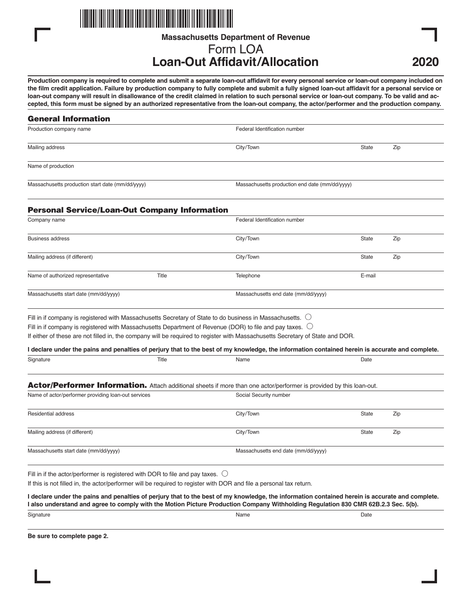

**Massachusetts Department of Revenue**

# Form LOA **Loan-Out Affidavit/Allocation**

**2020**

**Production company is required to complete and submit a separate loan-out affidavit for every personal service or loan-out company included on the film credit application. Failure by production company to fully complete and submit a fully signed loan-out affidavit for a personal service or loan-out company will result in disallowance of the credit claimed in relation to such personal service or loan-out company. To be valid and accepted, this form must be signed by an authorized representative from the loan-out company, the actor/performer and the production company.**

| <b>General Information</b>                                                              |       |                                                                                                                                                 |                                                |     |  |
|-----------------------------------------------------------------------------------------|-------|-------------------------------------------------------------------------------------------------------------------------------------------------|------------------------------------------------|-----|--|
| Production company name                                                                 |       | Federal Identification number                                                                                                                   |                                                |     |  |
| Mailing address                                                                         |       | City/Town                                                                                                                                       | <b>State</b>                                   | Zip |  |
| Name of production                                                                      |       |                                                                                                                                                 |                                                |     |  |
| Massachusetts production start date (mm/dd/yyyy)                                        |       |                                                                                                                                                 | Massachusetts production end date (mm/dd/yyyy) |     |  |
| <b>Personal Service/Loan-Out Company Information</b>                                    |       |                                                                                                                                                 |                                                |     |  |
| Company name                                                                            |       | Federal Identification number                                                                                                                   |                                                |     |  |
| <b>Business address</b>                                                                 |       | City/Town                                                                                                                                       | <b>State</b>                                   | Zip |  |
| Mailing address (if different)                                                          |       | City/Town                                                                                                                                       | <b>State</b>                                   | Zip |  |
| Name of authorized representative                                                       | Title | Telephone                                                                                                                                       | E-mail                                         |     |  |
| Massachusetts start date (mm/dd/yyyy)                                                   |       | Massachusetts end date (mm/dd/yyyy)                                                                                                             |                                                |     |  |
|                                                                                         |       | Fill in if company is registered with Massachusetts Secretary of State to do business in Massachusetts. $\cup$                                  |                                                |     |  |
|                                                                                         |       | Fill in if company is registered with Massachusetts Department of Revenue (DOR) to file and pay taxes. $\circlearrowright$                      |                                                |     |  |
|                                                                                         |       | If either of these are not filled in, the company will be required to register with Massachusetts Secretary of State and DOR.                   |                                                |     |  |
|                                                                                         |       | I declare under the pains and penalties of perjury that to the best of my knowledge, the information contained herein is accurate and complete. |                                                |     |  |
| Signature                                                                               | Title | Name                                                                                                                                            | Date                                           |     |  |
|                                                                                         |       | Actor/Performer Information. Attach additional sheets if more than one actor/performer is provided by this loan-out.                            |                                                |     |  |
| Name of actor/performer providing loan-out services                                     |       | Social Security number                                                                                                                          |                                                |     |  |
| Residential address                                                                     |       | City/Town                                                                                                                                       | State                                          | Zip |  |
| Mailing address (if different)                                                          |       | City/Town                                                                                                                                       | <b>State</b>                                   | Zip |  |
| Massachusetts start date (mm/dd/yyyy)                                                   |       | Massachusetts end date (mm/dd/yyyy)                                                                                                             |                                                |     |  |
| Fill in if the actor/performer is registered with DOR to file and pay taxes. $\bigcirc$ |       |                                                                                                                                                 |                                                |     |  |
|                                                                                         |       | If this is not filled in, the actor/performer will be required to register with DOR and file a personal tax return.                             |                                                |     |  |

**I declare under the pains and penalties of perjury that to the best of my knowledge, the information contained herein is accurate and complete. I also understand and agree to comply with the Motion Picture Production Company Withholding Regulation 830 CMR 62B.2.3 Sec. 5(b).**

Signature **Name Date of the State of the State of the State of the State of the State of the State of the Name Date of the State of the State of the State of the Name Date of the State of the State of the State of the Stat** 

**Be sure to complete page 2.**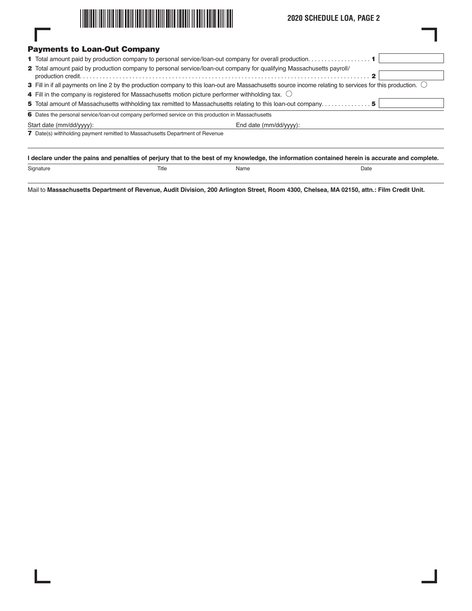

# **2020 SCHEDULE LOA, PAGE 2**

|                                                                                                                      | <b>Payments to Loan-Out Company</b>                                                                                                                              |  |  |  |  |
|----------------------------------------------------------------------------------------------------------------------|------------------------------------------------------------------------------------------------------------------------------------------------------------------|--|--|--|--|
|                                                                                                                      |                                                                                                                                                                  |  |  |  |  |
| 2 Total amount paid by production company to personal service/loan-out company for qualifying Massachusetts payroll/ |                                                                                                                                                                  |  |  |  |  |
|                                                                                                                      | 3 Fill in if all payments on line 2 by the production company to this loan-out are Massachusetts source income relating to services for this production. $\circ$ |  |  |  |  |
|                                                                                                                      | 4 Fill in the company is registered for Massachusetts motion picture performer withholding tax. $\circlearrowright$                                              |  |  |  |  |
|                                                                                                                      |                                                                                                                                                                  |  |  |  |  |
|                                                                                                                      | 6 Dates the personal service/loan-out company performed service on this production in Massachusetts                                                              |  |  |  |  |
|                                                                                                                      | End date (mm/dd/yyyy):<br>Start date (mm/dd/yyyy):                                                                                                               |  |  |  |  |
|                                                                                                                      | <b>7</b> Date(s) withholding payment remitted to Massachusetts Department of Revenue                                                                             |  |  |  |  |
|                                                                                                                      |                                                                                                                                                                  |  |  |  |  |
|                                                                                                                      | I declare under the pains and penalties of perjury that to the best of my knowledge, the information contained herein is accurate and complete.                  |  |  |  |  |

Mail to **Massachusetts Department of Revenue, Audit Division, 200 Arlington Street, Room 4300, Chelsea, MA 02150, attn.: Film Credit Unit.**

Signature and the Signature of the Title Contract of Name Name and the Date of the Date of the Date